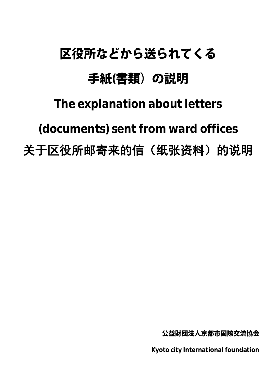# 区役所などから送られてくる 手紙(書類) の説明

The explanation about letters

(documents) sent from ward offices

关于区役所邮寄来的信(纸张资料)的说明

公益財団法人京都市国際交流協会

Kyoto city International foundation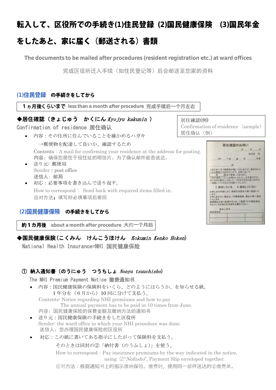# 転入して、区役所での手続き(1)住民登録 (2)国民健康保険 (3)国民年金

# をしたあと、家に届く(郵送される)書類

The documents to be mailed after procedures (resident registration etc.) at ward offices

完成区役所迁入手续(如住民登记等)后会邮送至您家的资料

# (1)住民登録 の手続きをしてから

1ヵ月後くらいまで less than a month after procedure 完成手续后一个月左右

# ◆居住確認(きょじゅう かくにん Kyojyu kakunin)

Confirmation of residence 居住确认

● 内容:その住所に住んでいることを確かめるハガキ

→郵便物を配達して良いか、確認するため

 Contents:A mail for confirming your residence at the address for posting. 内容:确保您居住于现住址的明信片。为了确认邮件能否送达。

- 送り元: 郵便局 Sender: post office 送信人: 邮局
- 対応:必要事項を書き込んで送り返す。 How to correspond: Send back with required items filled in. 应对方法:填写好必填事项后寄回

# (2)国民健康保険 の手続きをしてから

about a month after procedure **大约一个月后**

◆国民健康保険(こくみん けんこうほけん Kokumin Kenko Hoken)

National Health Insurance=NHI 国民健康保险

# ① 納入通知書(のうにゅう つうちしょ Nonyu tsuuchisho)

The NHI Premium Payment Notice 缴费通知书

 内容:国民健康保険の保険料をいくら、どのようにはらうか、を知らせる紙。 1年分を(6月から)10回に分けて支払う。

 Contents: Notice regarding NHI premiums and how to pay The annual payment has to be paid in 10 times from June. 内容:国民健康保险的保费金额及缴纳方法的通知书

- 送り元:国民健康保険の手続きをした区役所 Sender: the ward office in which your NHI procedure was done. 送信人:您办理国民健康保险的区役所
- 対応:この紙に書いてある指示にしたがって保険料を支払う。

そのときは同封の②「納付書(のうふしょ)」を使う。 How to correspond: Pay insurance premiums by the way indicated in the notice, using  $\mathcal{D}^n$  *Nofusho*", Payment Slip enveloped together. 应对方法:根据通知书上的指示缴纳保险。缴费时,使用同一邮件送达的②缴费单。

居住確認(例) Confirmation of residence (sample) 居住确认(例)

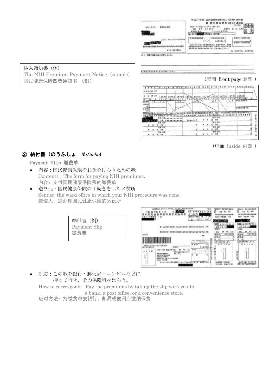| 606-8111<br>京都行を登び                                                                                            | 苹成 31 年度 · 唐天留质保护料路人 (友美) · 速知道<br>黄 特別 救収 認 始 (序止) 通知書<br>したかぞ、温加しさす。<br>工業<br><b>由用 1日目</b><br>これからの看収方面                                                          | 20165<br>顶長                                  |
|---------------------------------------------------------------------------------------------------------------|---------------------------------------------------------------------------------------------------------------------------------------------------------------------|----------------------------------------------|
| 6-2025-05984<br>3101<br><b>THE OWNER</b><br>لطلاقتها مقرط وكوكو فرطب التقاط والطاط فلطط فللمطلب<br>#14-005984 | 142021 電話の 世界新規 (前日期)<br>美区语气范外星期<br>187390 #<br><b>Color</b><br>能固果<br>しぜいただく<br>直接诊断指挥。<br>光笔器<br>12年分前数千支が水爆光保険所(102年から66度までの年<br>Particle 生物に就職されます。 ウオ甘油Cなります。 | 日本ボデオ<br>信用品<br>森田町での予知者<br>14-005984-023933 |
| 21平度の実験料理を決定しました。                                                                                             |                                                                                                                                                                     |                                              |
| お知らせはこちらと記載しています。                                                                                             |                                                                                                                                                                     |                                              |

#### (表面 front page 表面 )

| <b>BARTH-</b>  | THE R. P. LEWIS<br>- 95 |     |             |  |          |            |  |                   |     |        |  |            |       |                |       |       |        |      |    |  |
|----------------|-------------------------|-----|-------------|--|----------|------------|--|-------------------|-----|--------|--|------------|-------|----------------|-------|-------|--------|------|----|--|
|                | の数                      | 090 |             |  |          |            |  |                   |     |        |  |            |       |                |       |       |        |      |    |  |
|                |                         | UU  | 19090       |  | 1870G    |            |  | 18700 18760 18700 |     | 18Zadf |  |            | 18700 |                | 18700 |       | 18700  |      |    |  |
|                |                         |     |             |  |          | <b>B.A</b> |  |                   | AB. |        |  |            |       |                |       |       | 汽打 行 费 | 日報番号 |    |  |
| regali<br>(FL) |                         |     |             |  |          |            |  |                   |     |        |  |            |       |                |       |       |        |      |    |  |
|                |                         |     |             |  |          |            |  |                   |     |        |  |            |       |                |       | 转变整组度 |        |      | ** |  |
| m              |                         |     |             |  |          |            |  |                   |     |        |  |            |       |                |       |       |        |      |    |  |
|                |                         |     |             |  | 上高河      |            |  |                   |     |        |  |            |       | <b>RICHAGO</b> |       |       |        |      |    |  |
|                |                         |     |             |  |          | 日本日本       |  |                   |     |        |  |            |       |                |       |       |        |      |    |  |
|                |                         |     | 台灣          |  | ******** |            |  | 9096005           |     |        |  | 88<br>$+1$ |       |                |       |       |        |      |    |  |
|                |                         |     |             |  |          |            |  |                   |     |        |  | 88-69<br>超 |       |                |       |       |        |      |    |  |
|                |                         |     | 作便<br>$-21$ |  |          |            |  |                   |     |        |  |            |       |                |       |       |        |      |    |  |
|                |                         |     | 合義<br>- gr  |  |          |            |  |                   |     |        |  |            |       |                |       |       |        |      |    |  |

(中面 inside 内面 )

**CONT TEXAPPLE (NLC) EXCEPTION** 

# ② 納付書(のうふしょ Nofusho)

The NHI Premium Payment Notice (sample)

#### Payment Slip 缴费单

納入通知書(例)

国民健康保险缴费通知书 (例)

 内容:国民健康保険のお金をはらうための紙。 Contents: The form for paying NHI premiums. 内容:支付国民健康保险费的缴费单

> 納付書(例) Payment Slip

缴费单

 送り元:国民健康保険の手続きをした区役所 Sender: the ward office in which your NHI procedure was done. 送信人:您办理国民健康保险的区役所

| 1.08                                |            | wallogam is         | nellegga in |
|-------------------------------------|------------|---------------------|-------------|
|                                     | 31 01 00 1 |                     |             |
| 8142025200120410003131000100000119  |            | 12520013            |             |
| 87200011010200000000000000000000000 |            | 38 TA 18<br>8760904 | 31V090      |
|                                     |            |                     |             |
| <b>TT/DELADOR</b>                   |            | 知らな症を病かします。         | $f_0$ 10    |
|                                     | #1927      |                     |             |
|                                     |            | 1.1.1               | East.<br>ă  |
| 22<br>us a blind ibn                |            |                     |             |
| ミトミノのあい地球を事務センター 下はトレルニース入室         |            |                     |             |

 対応:この紙を銀行・郵便局・コンビニなどに 持って行き、その保険料をはらう。

How to correspond: Pay the premiums by taking the slip with you to

a bank, a post office, or a convenience store.

应对方法:持缴费单去银行、邮局或便利店缴纳保费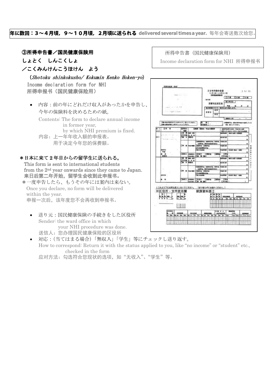# 年に数回:3~4月頃,9~10月頃,2月頃に送られる delivered several times a year. 每年会寄送数次给您。



 送り元:国民健康保険の手続きをした区役所 Sender: the ward office in which your NHI procedure was done. 送信人:您办理国民健康保险的区役所

l,

 対応:(当てはまる場合)「無収入」「学生」等にチェックし送り返す。 How to correspond: Return it with the status applied to you, like "no income" or "student" etc., checked in the form 应对方法:勾选符合您现状的选项,如"无收入"、"学生"等。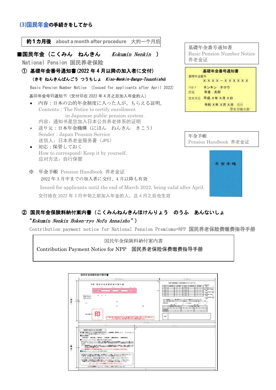

 Issued for applicants until the end of March 2022, being valid after April. 交付给在 2022 年 3 月中旬之前加入年金的人,且 4 月之后也生效

## 基礎年金番号通知書 Basic Pension Number Notice 养老金证



年金手帳 Pension Handbook 养老金证



# ② 国民年金保険料納付案内書(こくみんねんきんほけんりょう のうふ あんないしょ

### "Kokumin Nenkin Hoken-ryo Nofu Annaisho")

Contribution payment notice for National Pension Premiums=NPP 国民养老保险费缴费指导手册



|                                    | 1 Elizabeth & K. Louis                                                                                                                                                                                                                                                                                                                                                                                                                                                                                                                                                                                                                                                                                                                                                                          | <b>MORRADO</b>                                                                                                                                                                                                                                                                                                                                                                                                                                                                                                                                                                                                                                                                                                                                                                                                                   |
|------------------------------------|-------------------------------------------------------------------------------------------------------------------------------------------------------------------------------------------------------------------------------------------------------------------------------------------------------------------------------------------------------------------------------------------------------------------------------------------------------------------------------------------------------------------------------------------------------------------------------------------------------------------------------------------------------------------------------------------------------------------------------------------------------------------------------------------------|----------------------------------------------------------------------------------------------------------------------------------------------------------------------------------------------------------------------------------------------------------------------------------------------------------------------------------------------------------------------------------------------------------------------------------------------------------------------------------------------------------------------------------------------------------------------------------------------------------------------------------------------------------------------------------------------------------------------------------------------------------------------------------------------------------------------------------|
| <b>STATE</b><br>481<br><b>HORA</b> | ** ************<br><b>COLLECT</b><br><b>BA 1.88</b><br>111111<br><br>$\frac{1}{2} \left( \frac{1}{2} \right) \left( \frac{1}{2} \right)$<br>******<br>$100 - 440 + 5$<br>$\frac{1}{2}$<br>$1.4 +$<br><b>ALL</b><br>東京作業にま<br>2. 世界に最小の時間の日本を入れ、専門書店、日本「作品集」で展示している中、また、一                                                                                                                                                                                                                                                                                                                                                                                                                                                                                                                        | SEVERESIA LOROSIA (2010) PALESTYL<br><b>HELES</b><br><b>BELL 1999</b><br>1 <b>1979</b><br>20100<br>press.<br>2011<br>$\rightarrow$<br>m<br>m<br>≖<br>T<br>100000111111<br>÷<br><b>GALLANTING</b><br>18.9<br>1489<br>$-1$<br>- 3<br>m<br>TRT.<br>÷<br>$-100$<br><b>FOR ASSISTANCE</b><br>19.9<br>188<br>$\overline{\phantom{a}}$<br>$\overline{\phantom{a}}$<br>76<br>-1979<br>w<br>÷<br>v<br>100904-0100<br>T<br>÷<br>18.9<br>496.95<br>198<br>110104010011000<br>1981<br>は上の基準格の多も、動物系統のなごとができる集構以上がある必要です。<br>当初、重要提供学校中であるいの合作基準関係、基本のの提供書で開発してください。<br>200223-0<br>colored by the bank party<br>The Controller<br>10010-001<br>100 0100 0<br><b>COLLEGE</b><br><b>CARLA GO IBY</b><br>11124-141-141<br><b>Month</b> G<br>11.14.1<br>8.18<br>$E - E$<br>x<br>x<br><b>Address</b><br>v<br>---<br><b>WIND</b><br>₩<br>$\bullet$ |
| -<br><br>重<br>$\sim$               | a british dealers are<br>MARKETING CARD IN<br>約5萬に定置されている金額の金額約を出すで、金額機構、新規数 1011 17:00:27:00<br>ストアイロー事件制作予備するそください。<br>Electromatic<br>化多重性能的 化离子性素 化离开的间 计数据控制 化高频振荡电路 计编程控制程序<br>「はしかんましままとアヤは、実際や身前をも無料を実施す。<br>WELF-RESERVED FOR MINE MANUFACTURE OF THE<br>THE RESIDENCE IS NOT THE RESIDENCE OF THE RESIDENCE OF THE RESIDENCE OF THE RESIDENCE OF THE RESIDENCE OF THE RESIDENCE OF THE RESIDENCE OF THE RESIDENCE OF THE RESIDENCE OF THE RESIDENCE OF THE RESIDENCE OF THE RESIDENCE<br>SCI 60001110000180001 TATTILLY PIERRAILMENDER<br>■電話検討ストネスールスマットサビ検索を実施す。<br>事件事をはず小説をいての事にもも、 MODをもくした者か、 予約のパルスの意味である。<br>日本語集: MODELは最初でも「実施の方法」をはくの作品を解決した状況のことです。<br>TTL2000BALL REVAILED IN LEIG. THE TEST TO CERL.<br>有各方键量, CASBOHARS:■甲卡路站, R.R.C.AGAAL, CLAN 8:075, CTT B (17:01)。 | -entrance                                                                                                                                                                                                                                                                                                                                                                                                                                                                                                                                                                                                                                                                                                                                                                                                                        |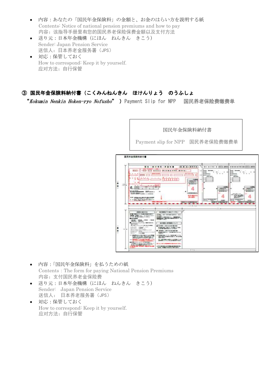- 内容:あなたの「国民年金保険料」の金額と、お金のはらい方を説明する紙 Contents: Notice of national pension premiums and how to pay 内容:该指导手册里有您的国民养老保险保费金额以及支付方法
- 送り元:日本年金機構(にほん ねんきん きこう) Sender: Japan Pension Service 送信人:日本养老金服务署(JPS)
- 対応:保管しておく How to correspond: Keep it by yourself. 应对方法:自行保管

# ③ 国民年金保険料納付書(こくみんねんきん ほけんりょう のうふしょ

"Kokumin Nenkin Hoken-ryo Nofusho" )Payment Slip for NPP 国民养老保险费缴费单



- 内容:「国民年金保険料」を払うための紙 Contents:The form for paying National Pension Premiums 内容:支付国民养老金保险费
- 送り元:日本年金機構(にほん ねんきん きこう) Sender: Japan Pension Service 送信人: 日本养老服务署 (JPS)
- 対応:保管しておく How to correspond: Keep it by yourself. 应对方法:自行保管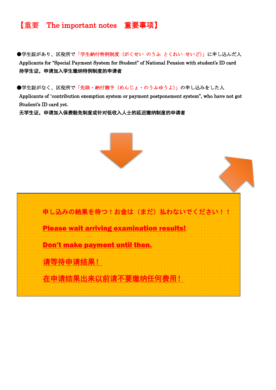# 【重要 The important notes 重要事项】

●学生証があり、区役所で「学生納付特例制度(がくせい のうふ とくれい せいど)」に申し込んだ人 Applicants for "Special Payment System for Student" of National Pension with student's ID card 持学生证,申请加入学生缴纳特例制度的申请者

●学生証がなく、区役所で「免除・納付猶予(めんじょ・のうふゆうよ)」の申し込みをした人 Applicants of "contribution exemption system or payment postponement system", who have not got Student's ID card yet.

无学生证,申请加入保费豁免制度或针对低收入人士的延迟缴纳制度的申请者

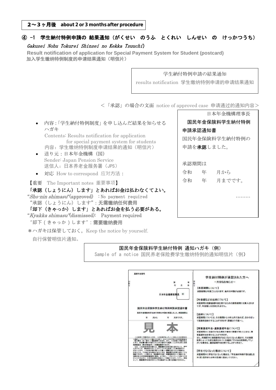#### $2 \sim 3$  ヶ月後 about 2 or 3 months after procedure

# ④ -1 学生納付特例申請の 結果通知(がくせい のうふ とくれい しんせい の けっかつうち)

#### Gakusei Nohu Tokurei Shinsei no Kekka Tsuuchi)

 **Result notification of application for Special Payment System for Student (postcard)** 加入学生缴纳特例制度的申请结果通知(明信片)

#### 学生納付特例申請の結果通知

results notification 学生缴纳特例申请的申请结果通知

<「承認」の場合の文面 notice of approved case 申请通过的通知内容>

- 内容 : 「学生納付特例制度」を申し込んだ結果を知らせる ┃ **国民年金保険料学生納付特例** ハガキ Contents: Results notification for application for special payment system for students 内容:学生缴纳特例制度申请结果的通知(明信片)
	- 送り元 : 日本年金機構(国) Sender: Japan Pension Service 送信人:日本养老金服务署(JPS)
	- 対応 How to correspond 应对方法:

【重要 The Important notes 重要事项】 | 令和 年 月までです。

「承認(しょうにん)します」とあればお金は払わなくてよい。 "Sho-nin shimasu"(approved) : No payment required "承認(しょうにん)します":无需缴纳任何费用 「却下(きゃっか)します」とあればお金を払う必要がある。 "Kyakka shimasu"(dismissed): Payment required

**"却下(きゃっか)します":**需要缴纳费用

\*ハガキは保管しておく。Keep the notice by yourself.

自行保管明信片通知。

申請承認通知書 国民年金保険料学生納付特例の 申請を承認しました。 承認期間は 令和 年 月から

日本年金機構理事長

………

 $\mathbb{R}$ 

#### 国民年金保険料学生納付特例 通知ハガキ(例)

Sample of a notice 国民养老保险费学生缴纳特例的通知明信片(例)

| 基礎年金番号                                                                   |                                                                                          |        |                |                                                     |  |
|--------------------------------------------------------------------------|------------------------------------------------------------------------------------------|--------|----------------|-----------------------------------------------------|--|
|                                                                          |                                                                                          |        |                | 学生納付特例が承認された方へ                                      |  |
|                                                                          |                                                                                          |        |                | 一大切なお知らせー                                           |  |
|                                                                          |                                                                                          |        | $\blacksquare$ | 【承認期間について】                                          |  |
|                                                                          | 日本年金機構理器長                                                                                |        |                | 承認期間は年度ごととなります。 箱年の申請が必要です。                         |  |
|                                                                          |                                                                                          |        |                |                                                     |  |
|                                                                          |                                                                                          |        |                | 【年金額などの反映について】                                      |  |
|                                                                          |                                                                                          |        |                | 米認期間は老齢基礎年金を受けるための資格期間には寛入されま<br>すが、年少額には反映されません。   |  |
|                                                                          | 国民年金保险料学生纳付特例申請承認通知書                                                                     |        |                |                                                     |  |
|                                                                          | 国務年金保険料学生納付特例の中語を来記しました。来記期間は                                                            |        |                | 【追納について】                                            |  |
| 肩から                                                                      |                                                                                          | 月までです。 |                | 承認期間については、その期間から10年以内であれば、さかのぼっ                     |  |
|                                                                          |                                                                                          |        |                | て保健科を納付することができます(詳細はウラ面へ)。                          |  |
|                                                                          |                                                                                          |        |                |                                                     |  |
| $\equiv$                                                                 |                                                                                          |        |                | 【障害基礎年金・遺族基礎年金について】                                 |  |
|                                                                          |                                                                                          |        |                | 承認期間中に初診月がある病気や事故で障害が残ったときは、障                       |  |
|                                                                          | きほここの床帯があったこと                                                                            |        |                | 実基礎集会を受けることができます。<br>また、問題関中に被保険者がお亡くなりになった場合で、その被保 |  |
| (株方理生 (支) 馬内) に書を請求できます。また、その決定に不理がある                                    | UP TO BE AN ATTITUDADE ON THE RAINER TO . AND THE TOWER ITS TREATMENT OF THE PART OF THE |        |                | 検者によって生計を維持されている遺族び子のある配偶者」「子」)                     |  |
| ときは、決定書の様子が強がされたきの番号から相互して2か月以内に社会<br>香命 (事生労働連内) に再審査確定できます。            |                                                                                          |        |                | がいる場合は、遺族基礎年齢を受けることができます。                           |  |
| なお、この決定の改革の類えは、審査論者の決定を組ん除でないと、<br>でを実せるが、実業権更があった意外のどかは不明治」でも実施院式の6     |                                                                                          |        |                |                                                     |  |
| がないときや、この決定の執行等による美しい情報を選けるため気象のも<br>があるとき、ての作品はな場合があるときは、審査課状の決定を締なくても  |                                                                                          |        |                | 【学生でなくなった場合について】                                    |  |
| 護殿できます。この新えは、富貴類求の決定(再業更整定をした場合には、<br>当該演座及は社会保護審査会の業実。以下同じ。)があったことを知った百 |                                                                                          |        |                | 承認期間中に学生でなくなった場合は、「学生納付特例不該当單」                      |  |
| から互か月以内に、日本年金事情を被告として経緯できます。ただし、理解<br>として、電話算式の決定の自から1枚を経過すると新えを構起できません。 |                                                                                          |        |                | 市(区)役所または町村役場に提出してください。                             |  |
|                                                                          |                                                                                          |        |                |                                                     |  |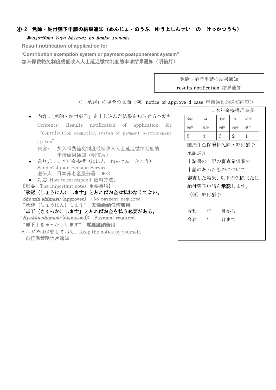# ④-2 免除・納付猶予申請の結果通知(めんじょ・のうふ ゆうよしんせい の けっかつうち)

# Menjo-Nohu Yuyo Shinsei no Kekka Tsuuchi

**Result notification of application for**

"**Contribution exemption system or payment postponement system"**

加入保费豁免制度或低收入人士延迟缴纳制度的申请结果通知(明信片)

|                                                                                                                        | results notification 结果通知 |                        |               |                |                 |
|------------------------------------------------------------------------------------------------------------------------|---------------------------|------------------------|---------------|----------------|-----------------|
| <「承認」の場合の文面(例)notice of approve d case 申请通过的通知内容>                                                                      |                           |                        |               |                |                 |
|                                                                                                                        |                           |                        | 日本年金機構理事長     |                |                 |
| 内容:「免除・納付猶予」を申し込んだ結果を知らせるハガキ                                                                                           | 全額                        | 3/4                    | 半額            | 1/4            | 納付              |
| Contents: Results notification of application<br>for                                                                   | 免除                        | 免除                     | 免除            | 免除             | 猶予              |
| "Contribution exemption system or payment postponement                                                                 | 5                         | $\overline{4}$         | $\mathcal{S}$ | $\overline{2}$ | 1               |
| system"<br>加入保费豁免制度或低收入人士延迟缴纳制度的<br>内容:                                                                                |                           | 国民年金保険料免除・納付猶予<br>承認通知 |               |                |                 |
| 申请结果通知(明信片)<br>– 送り元:日本年金機構(にほん―ねんきん―きこう)<br>Sender: Japan Pension Service                                             |                           | 申請書の上記の審査希望順で          |               |                |                 |
| 送信人: 日本养老金服务署 (JPS)<br>対応 How to correspond 应对方法:<br>$\bullet$                                                         |                           | 申請のあったものについて           |               |                | 審査した結果、以下の免除または |
| 【重要 The Important notes 重要事项】                                                                                          |                           | 納付猶予申請を承認します。          |               |                |                 |
| 「承認(しょうにん)します」とあればお金は払わなくてよい。<br>"Shornin shimasu" (approved) : No payment required<br>"承認(しょうにん)します":无 <b>需缴纳任何费用</b> |                           | (例)納付猶予                |               |                |                 |
| 「却下(きゃっか)します」とあればお金を払う必要がある。                                                                                           | 令和                        | 年                      | 月から           |                |                 |
| "Kyakka shimasu"(dismissed): Payment required<br>"却下(きゃっか)します":需要缴纳费用                                                  | 令和                        | 年                      | 月まで           |                |                 |
| *ハガキは保管しておく。Keep the notice by yourself.<br>自行保管明信片通知。                                                                 |                           |                        |               |                |                 |

免除・猶予申請の結果通知